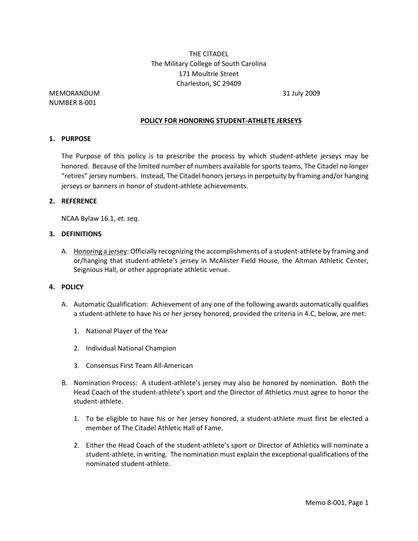# THE CITADEL The Military College of South Carolina 171 Moultrie Street Charleston, SC 29409

## MEMORANDUM 31 July 2009 NUMBER 8-001

### **POLICY FOR HONORING STUDENT-ATHLETE JERSEYS**

### **1. PURPOSE**

The Purpose of this policy is to prescribe the process by which student-athlete jerseys may be honored. Because of the limited number of numbers available for sports teams, The Citadel no longer "retires" jersey numbers. Instead, The Citadel honors jerseys in perpetuity by framing and/or hanging jerseys or banners in honor of student-athlete achievements.

## **2. REFERENCE**

NCAA Bylaw 16.1, *et. seq.* 

#### **3. DEFINITIONS**

A. Honoring a jersey: Officially recognizing the accomplishments of a student-athlete by framing and or/hanging that student-athlete's jersey in McAlister Field House, the Altman Athletic Center, Seignious Hall, or other appropriate athletic venue.

#### **4. POLICY**

- A. Automatic Qualification: Achievement of any one of the following awards automatically qualifies a student-athlete to have his or her jersey honored, provided the criteria in 4.C, below, are met:
	- 1. National Player of the Year
	- 2. Individual National Champion
	- 3. Consensus First Team All-American
- B. Nomination Process: A student-athlete's jersey may also be honored by nomination. Both the Head Coach of the student-athlete's sport and the Director of Athletics must agree to honor the student-athlete.
	- 1. To be eligible to have his or her jersey honored, a student-athlete must first be elected a member of The Citadel Athletic Hall of Fame.
	- 2. Either the Head Coach of the student-athlete's sport or Director of Athletics will nominate a student-athlete, in writing. The nomination must explain the exceptional qualifications of the nominated student-athlete.